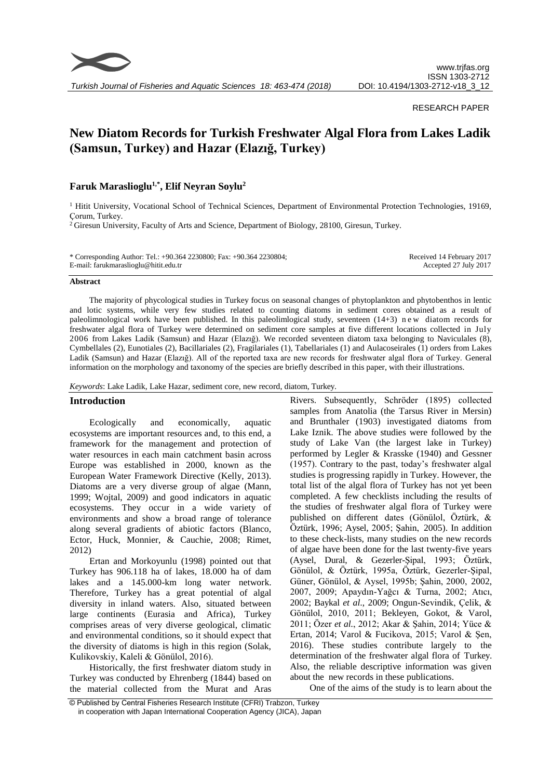

*Turkish Journal of Fisheries and Aquatic Sciences 18: 463-474 (2018)*

## RESEARCH PAPER

# **New Diatom Records for Turkish Freshwater Algal Flora from Lakes Ladik (Samsun, Turkey) and Hazar (Elazığ, Turkey)**

## **Faruk Maraslioglu1,\*, Elif Neyran Soylu<sup>2</sup>**

<sup>1</sup> Hitit University, Vocational School of Technical Sciences, Department of Environmental Protection Technologies, 19169, Çorum, Turkey.

<sup>2</sup> Giresun University, Faculty of Arts and Science, Department of Biology, 28100, Giresun, Turkey.

| * Corresponding Author: Tel.: $+90.364$ 2230800; Fax: $+90.364$ 2230804; | Received 14 February 2017 |
|--------------------------------------------------------------------------|---------------------------|
| E-mail: farukmaraslioglu@hitit.edu.tr                                    | Accepted 27 July 2017     |

#### **Abstract**

The majority of phycological studies in Turkey focus on seasonal changes of phytoplankton and phytobenthos in lentic and lotic systems, while very few studies related to counting diatoms in sediment cores obtained as a result of paleolimnological work have been published. In this paleolimlogical study, seventeen (14+3) n e w diatom records for freshwater algal flora of Turkey were determined on sediment core samples at five different locations collected in July 2006 from Lakes Ladik (Samsun) and Hazar (Elazığ). We recorded seventeen diatom taxa belonging to Naviculales (8), Cymbellales (2), Eunotiales (2), Bacillariales (2), Fragilariales (1), Tabellariales (1) and Aulacoseirales (1) orders from Lakes Ladik (Samsun) and Hazar (Elazığ). All of the reported taxa are new records for freshwater algal flora of Turkey. General information on the morphology and taxonomy of the species are briefly described in this paper, with their illustrations.

*Keywords*: Lake Ladik, Lake Hazar, sediment core, new record, diatom, Turkey.

## **Introduction**

Ecologically and economically, aquatic ecosystems are important resources and, to this end, a framework for the management and protection of water resources in each main catchment basin across Europe was established in 2000, known as the European Water Framework Directive (Kelly, 2013). Diatoms are a very diverse group of algae (Mann, 1999; Wojtal, 2009) and good indicators in aquatic ecosystems. They occur in a wide variety of environments and show a broad range of tolerance along several gradients of abiotic factors (Blanco, Ector, Huck, Monnier, & Cauchie, 2008; Rimet, 2012)

Ertan and Morkoyunlu (1998) pointed out that Turkey has 906.118 ha of lakes, 18.000 ha of dam lakes and a 145.000-km long water network. Therefore, Turkey has a great potential of algal diversity in inland waters. Also, situated between large continents (Eurasia and Africa), Turkey comprises areas of very diverse geological, climatic and environmental conditions, so it should expect that the diversity of diatoms is high in this region (Solak, Kulikovskiy, Kaleli & Gönülol, 2016).

Historically, the first freshwater diatom study in Turkey was conducted by Ehrenberg (1844) based on the material collected from the Murat and Aras

Rivers. Subsequently, Schröder (1895) collected samples from Anatolia (the Tarsus River in Mersin) and Brunthaler (1903) investigated diatoms from Lake Iznik. The above studies were followed by the study of Lake Van (the largest lake in Turkey) performed by Legler & Krasske (1940) and Gessner (1957). Contrary to the past, today's freshwater algal studies is progressing rapidly in Turkey. However, the total list of the algal flora of Turkey has not yet been completed. A few checklists including the results of the studies of freshwater algal flora of Turkey were published on different dates (Gönülol, Öztürk, & Öztürk, 1996; Aysel, 2005; Şahin, 2005). In addition to these check-lists, many studies on the new records of algae have been done for the last twenty-five years (Aysel, Dural, & Gezerler-Şipal, 1993; Öztürk, Gönülol, & Öztürk, 1995a, Öztürk, Gezerler-Şipal, Güner, Gönülol, & Aysel, 1995b; Şahin, 2000, 2002, 2007, 2009; Apaydın-Yağcı & Turna, 2002; Atıcı, 2002; Baykal *et al*., 2009; Ongun-Sevindik, Çelik, & Gönülol, 2010, 2011; Bekleyen, Gokot, & Varol, 2011; Özer *et al.*, 2012; Akar & Şahin, 2014; Yüce & Ertan, 2014; Varol & Fucikova, 2015; Varol & Şen, 2016). These studies contribute largely to the determination of the freshwater algal flora of Turkey. Also, the reliable descriptive information was given about the new records in these publications.

One of the aims of the study is to learn about the

<sup>©</sup> Published by Central Fisheries Research Institute (CFRI) Trabzon, Turkey in cooperation with Japan International Cooperation Agency (JICA), Japan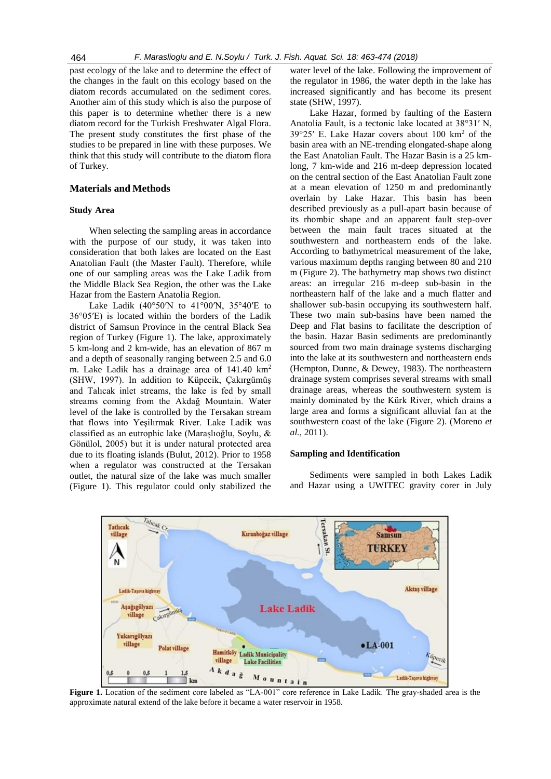past ecology of the lake and to determine the effect of the changes in the fault on this ecology based on the diatom records accumulated on the sediment cores. Another aim of this study which is also the purpose of this paper is to determine whether there is a new diatom record for the Turkish Freshwater Algal Flora. The present study constitutes the first phase of the studies to be prepared in line with these purposes. We think that this study will contribute to the diatom flora of Turkey.

## **Materials and Methods**

## **Study Area**

When selecting the sampling areas in accordance with the purpose of our study, it was taken into consideration that both lakes are located on the East Anatolian Fault (the Master Fault). Therefore, while one of our sampling areas was the Lake Ladik from the Middle Black Sea Region, the other was the Lake Hazar from the Eastern Anatolia Region.

Lake Ladik (40°50′N to 41°00′N, 35°40′E to 36°05′E) is located within the borders of the Ladik district of Samsun Province in the central Black Sea region of Turkey (Figure 1). The lake, approximately 5 km-long and 2 km-wide, has an elevation of 867 m and a depth of seasonally ranging between 2.5 and 6.0 m. Lake Ladik has a drainage area of 141.40 km<sup>2</sup> (SHW, 1997). In addition to Küpecik, Çakırgümüş and Talıcak inlet streams, the lake is fed by small streams coming from the Akdağ Mountain. Water level of the lake is controlled by the Tersakan stream that flows into Yeşilırmak River. Lake Ladik was classified as an eutrophic lake (Maraşlıoğlu, Soylu, & Gönülol, 2005) but it is under natural protected area due to its floating islands (Bulut, 2012). Prior to 1958 when a regulator was constructed at the Tersakan outlet, the natural size of the lake was much smaller (Figure 1). This regulator could only stabilized the water level of the lake. Following the improvement of the regulator in 1986, the water depth in the lake has increased significantly and has become its present state (SHW, 1997).

Lake Hazar, formed by faulting of the Eastern Anatolia Fault, is a tectonic lake located at 38°31′ N, 39°25′ E. Lake Hazar covers about 100 km<sup>2</sup> of the basin area with an NE-trending elongated-shape along the East Anatolian Fault. The Hazar Basin is a 25 kmlong, 7 km-wide and 216 m-deep depression located on the central section of the East Anatolian Fault zone at a mean elevation of 1250 m and predominantly overlain by Lake Hazar. This basin has been described previously as a pull-apart basin because of its rhombic shape and an apparent fault step-over between the main fault traces situated at the southwestern and northeastern ends of the lake. According to bathymetrical measurement of the lake, various maximum depths ranging between 80 and 210 m (Figure 2). The bathymetry map shows two distinct areas: an irregular 216 m-deep sub-basin in the northeastern half of the lake and a much flatter and shallower sub-basin occupying its southwestern half. These two main sub-basins have been named the Deep and Flat basins to facilitate the description of the basin. Hazar Basin sediments are predominantly sourced from two main drainage systems discharging into the lake at its southwestern and northeastern ends (Hempton, Dunne, & Dewey, 1983). The northeastern drainage system comprises several streams with small drainage areas, whereas the southwestern system is mainly dominated by the Kürk River, which drains a large area and forms a significant alluvial fan at the southwestern coast of the lake (Figure 2). (Moreno *et al.*, 2011).

### **Sampling and Identification**

Sediments were sampled in both Lakes Ladik and Hazar using a UWITEC gravity corer in July



**Figure 1.** Location of the sediment core labeled as "LA-001" core reference in Lake Ladik. The gray-shaded area is the approximate natural extend of the lake before it became a water reservoir in 1958.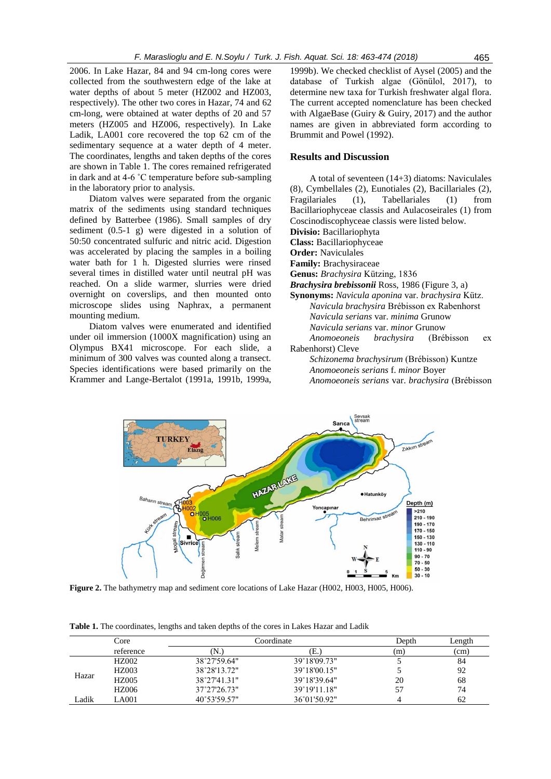2006. In Lake Hazar, 84 and 94 cm-long cores were collected from the southwestern edge of the lake at water depths of about 5 meter (HZ002 and HZ003, respectively). The other two cores in Hazar, 74 and 62 cm-long, were obtained at water depths of 20 and 57 meters (HZ005 and HZ006, respectively). In Lake Ladik, LA001 core recovered the top 62 cm of the sedimentary sequence at a water depth of 4 meter. The coordinates, lengths and taken depths of the cores are shown in Table 1. The cores remained refrigerated in dark and at 4-6 ˚C temperature before sub-sampling in the laboratory prior to analysis.

Diatom valves were separated from the organic matrix of the sediments using standard techniques defined by Batterbee (1986). Small samples of dry sediment (0.5-1 g) were digested in a solution of 50:50 concentrated sulfuric and nitric acid. Digestion was accelerated by placing the samples in a boiling water bath for 1 h. Digested slurries were rinsed several times in distilled water until neutral pH was reached. On a slide warmer, slurries were dried overnight on coverslips, and then mounted onto microscope slides using Naphrax, a permanent mounting medium.

Diatom valves were enumerated and identified under oil immersion (1000X magnification) using an Olympus BX41 microscope. For each slide, a minimum of 300 valves was counted along a transect. Species identifications were based primarily on the Krammer and Lange-Bertalot (1991a, 1991b, 1999a, 1999b). We checked checklist of Aysel (2005) and the database of Turkish algae (Gönülol, 2017), to determine new taxa for Turkish freshwater algal flora. The current accepted nomenclature has been checked with AlgaeBase (Guiry & Guiry, 2017) and the author names are given in abbreviated form according to Brummit and Powel (1992).

## **Results and Discussion**

A total of seventeen (14+3) diatoms: Naviculales (8), Cymbellales (2), Eunotiales (2), Bacillariales (2), Fragilariales (1), Tabellariales (1) from Bacillariophyceae classis and Aulacoseirales (1) from Coscinodiscophyceae classis were listed below. **Divisio:** [Bacillariophyta](http://www.algaebase.org/browse/taxonomy/?id=139141)

**Class:** [Bacillariophyceae](http://www.algaebase.org/browse/taxonomy/?id=4337)

**Order:** [Naviculales](http://www.algaebase.org/browse/taxonomy/?id=4490)

**Family:** [Brachysiraceae](http://www.algaebase.org/browse/taxonomy/?id=77637)

**Genus:** *[Brachysira](http://www.algaebase.org/browse/taxonomy/?id=77657)* Kützing, 1836

*Brachysira brebissonii* Ross, 1986 (Figure 3, a)

**Synonyms:** *Navicula aponina* var. *brachysira* Kütz. *Navicula brachysira* Brébisson ex Rabenhorst *Navicula serians* var. *minima* Grunow *Navicula serians* var. *minor* Grunow *Anomoeoneis brachysira* (Brébisson ex Rabenhorst) Cleve

*Schizonema brachysirum* (Brébisson) Kuntze *Anomoeoneis serians* f. *minor* Boyer *Anomoeoneis serians* var. *brachysira* (Brébisson



**Figure 2.** The bathymetry map and sediment core locations of Lake Hazar (H002, H003, H005, H006).

|  | <b>Table 1.</b> The coordinates, lengths and taken depths of the cores in Lakes Hazar and Ladik |  |
|--|-------------------------------------------------------------------------------------------------|--|

|       | Core         | Coordinate   |              | Depth | Length |
|-------|--------------|--------------|--------------|-------|--------|
|       | reference    | N.)          | (E.)         | (m)   | (cm)   |
| Hazar | <b>HZ002</b> | 38°27'59.64" | 39°18'09.73" |       | 84     |
|       | <b>HZ003</b> | 38°28′13.72″ | 39°18'00.15" |       | 92     |
|       | <b>HZ005</b> | 38°27'41.31" | 39°18'39.64" | 20    | 68     |
|       | <b>HZ006</b> | 37°27'26.73" | 39°19'11.18" | 57    | 74     |
| Ladik | <b>A001</b>  | 40°53'59.57" | 36°01'50.92" |       | 62     |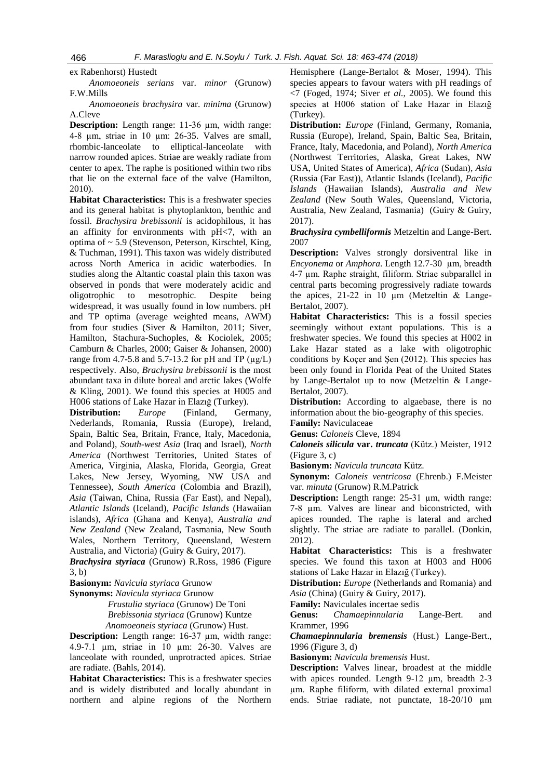ex Rabenhorst) Hustedt

*Anomoeoneis serians* var. *minor* (Grunow) F.W.Mills

*Anomoeoneis brachysira* var. *minima* (Grunow) A.Cleve

**Description:** Length range: 11-36 µm, width range: 4-8 µm, striae in 10 µm: 26-35. Valves are small, rhombic-lanceolate to elliptical-lanceolate with narrow rounded apices. Striae are weakly radiate from center to apex. The raphe is positioned within two ribs that lie on the external face of the valve (Hamilton, 2010).

**Habitat Characteristics:** This is a freshwater species and its general habitat is phytoplankton, benthic and fossil. *Brachysira brebissonii* is acidophilous, it has an affinity for environments with pH<7, with an optima of ~ 5.9 (Stevenson, Peterson, Kirschtel, King, & Tuchman, 1991). This taxon was widely distributed across North America in acidic waterbodies. In studies along the Altantic coastal plain this taxon was observed in ponds that were moderately acidic and oligotrophic to mesotrophic. Despite being widespread, it was usually found in low numbers. pH and TP optima (average weighted means, AWM) from four studies (Siver & Hamilton, 2011; Siver, Hamilton, Stachura-Suchoples, & Kociolek, 2005; Camburn & Charles, 2000; Gaiser & Johansen, 2000) range from 4.7-5.8 and 5.7-13.2 for pH and TP  $(\mu g/L)$ respectively. Also, *Brachysira brebissonii* is the most abundant taxa in dilute boreal and arctic lakes (Wolfe & Kling, 2001). We found this species at H005 and H006 stations of Lake Hazar in Elazığ (Turkey).

**Distribution:** *Europe* (Finland, Germany, Nederlands, Romania, Russia (Europe), Ireland, Spain, Baltic Sea, Britain, France, Italy, Macedonia, and Poland), *South-west Asia* (Iraq and Israel), *North America* (Northwest Territories, United States of America, Virginia, Alaska, Florida, Georgia, Great Lakes, New Jersey, Wyoming, NW USA and Tennessee), *South America* (Colombia and Brazil), *Asia* (Taiwan, China, Russia (Far East), and Nepal), *Atlantic Islands* (Iceland), *Pacific Islands* (Hawaiian islands), *Africa* (Ghana and Kenya), *Australia and New Zealand* (New Zealand, Tasmania, New South Wales, Northern Territory, Queensland, Western Australia, and Victoria) (Guiry & Guiry, 2017).

*Brachysira styriaca* (Grunow) R.Ross, 1986 (Figure 3, b)

**Basionym:** *[Navicula styriaca](http://www.algaebase.org/search/species/detail/?species_id=rf7d96fd73b3a2b98)* Grunow

**Synonyms:** *[Navicula styriaca](http://www.algaebase.org/search/species/detail/?species_id=Nf7d96fd73b3a2b98)* Grunow

 *Frustulia styriaca* [\(Grunow\) De Toni](http://www.algaebase.org/search/species/detail/?species_id=mdf86327a3b92b699) *[Brebissonia styriaca](http://www.algaebase.org/search/species/detail/?species_id=nf5fdb0162fd10610)* (Grunow) Kuntze *[Anomoeoneis styriaca](http://www.algaebase.org/search/species/detail/?species_id=C2f50dc990d042953)* (Grunow) Hust.

**Description:** Length range: 16-37 µm, width range: 4.9-7.1 µm, striae in 10 µm: 26-30. Valves are lanceolate with rounded, unprotracted apices. Striae are radiate. (Bahls, 2014).

**Habitat Characteristics:** This is a freshwater species and is widely distributed and locally abundant in northern and alpine regions of the Northern Hemisphere (Lange-Bertalot & Moser, 1994). This species appears to favour waters with pH readings of <7 (Foged, 1974; Siver *et al.*, 2005). We found this species at H006 station of Lake Hazar in Elazığ (Turkey).

**Distribution:** *Europe* (Finland, Germany, Romania, Russia (Europe), Ireland, Spain, Baltic Sea, Britain, France, Italy, Macedonia, and Poland), *North America* (Northwest Territories, Alaska, Great Lakes, NW USA, United States of America), *Africa* (Sudan), *Asia* (Russia (Far East)), Atlantic Islands (Iceland), *Pacific Islands* (Hawaiian Islands), *Australia and New Zealand* (New South Wales, Queensland, Victoria, Australia, New Zealand, Tasmania) (Guiry & Guiry, 2017).

*Brachysira cymbelliformis* Metzeltin and Lange-Bert. 2007

**Description:** Valves strongly dorsiventral like in *Encyonema* or *Amphora*. Length 12.7-30 µm, breadth 4-7 µm. Raphe straight, filiform. Striae subparallel in central parts becoming progressively radiate towards the apices,  $21-22$  in 10  $\mu$ m (Metzeltin & Lange-Bertalot, 2007).

**Habitat Characteristics:** This is a fossil species seemingly without extant populations. This is a freshwater species. We found this species at H002 in Lake Hazar stated as a lake with oligotrophic conditions by Koçer and Şen (2012). This species has been only found in Florida Peat of the United States by Lange-Bertalot up to now (Metzeltin & Lange-Bertalot, 2007).

**Distribution:** According to algaebase, there is no information about the bio-geography of this species. **Family:** Naviculaceae

**Genus:** *Caloneis* Cleve, 1894

*Caloneis silicula* **var.** *truncata* (Kütz.) Meister, 1912 (Figure 3, c)

**Basionym:** *[Navicula truncata](http://www.algaebase.org/search/species/detail/?species_id=x751b84ae825cfb75)* Kütz.

**Synonym:** *Caloneis ventricosa* (Ehrenb.) F.Meister var. *minuta* (Grunow) R.M.Patrick

**Description:** Length range: 25-31 µm, width range: 7-8 µm. Valves are linear and biconstricted, with apices rounded. The raphe is lateral and arched slightly. The striae are radiate to parallel. (Donkin, 2012).

**Habitat Characteristics:** This is a freshwater species. We found this taxon at H003 and H006 stations of Lake Hazar in Elazığ (Turkey).

**Distribution:** *Europe* (Netherlands and Romania) and *Asia* (China) (Guiry & Guiry, 2017).

**Family:** [Naviculales incertae sedis](http://www.algaebase.org/browse/taxonomy/?id=114590)

**Genus:** *Chamaepinnularia* Lange-Bert. and Krammer, 1996

*Chamaepinnularia bremensis* (Hust.) Lange-Bert., 1996 (Figure 3, d)

**Basionym:** *Navicula bremensis* Hust.

**Description:** Valves linear, broadest at the middle with apices rounded. Length 9-12 µm, breadth 2-3 µm. Raphe filiform, with dilated external proximal ends. Striae radiate, not punctate, 18-20/10 µm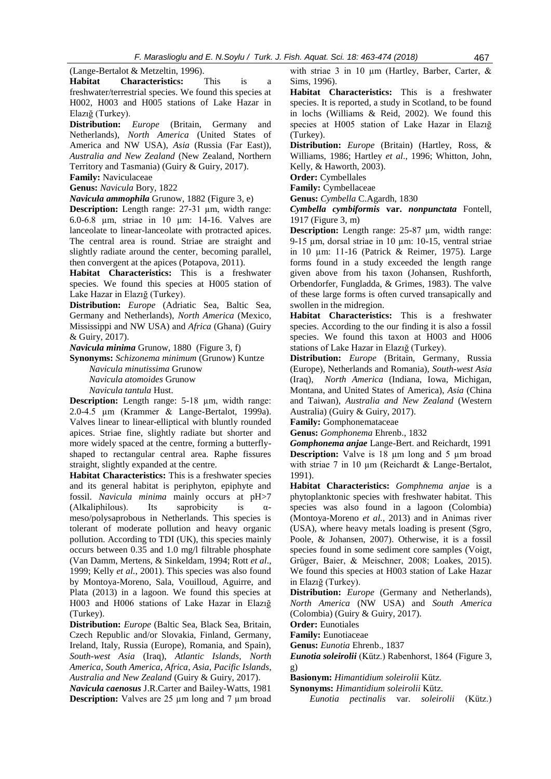(Lange-Bertalot & Metzeltin, 1996).

**Habitat Characteristics:** This is a freshwater/terrestrial species. We found this species at H002, H003 and H005 stations of Lake Hazar in Elazığ (Turkey).

**Distribution:** *Europe* (Britain, Germany and Netherlands), *North America* (United States of America and NW USA), *Asia* (Russia (Far East)), *Australia and New Zealand* (New Zealand, Northern Territory and Tasmania) (Guiry & Guiry, 2017).

**Family:** Naviculaceae

**Genus:** *[Navicula](http://www.algaebase.org/browse/taxonomy/?id=77661)* Bory, 1822

*Navicula ammophila* Grunow, 1882 (Figure 3, e)

**Description:** Length range: 27-31 µm, width range: 6.0-6.8 µm, striae in 10 µm: 14-16. Valves are lanceolate to linear-lanceolate with protracted apices. The central area is round. Striae are straight and slightly radiate around the center, becoming parallel, then convergent at the apices (Potapova, 2011).

**Habitat Characteristics:** This is a freshwater species. We found this species at H005 station of Lake Hazar in Elazığ (Turkey).

**Distribution:** *Europe* (Adriatic Sea, Baltic Sea, Germany and Netherlands), *North America* (Mexico, Mississippi and NW USA) and *Africa* (Ghana) (Guiry & Guiry, 2017).

*Navicula minima* Grunow, 1880(Figure 3, f)

**Synonyms:** *Schizonema minimum* (Grunow) Kuntze

*Navicula minutissima* Grunow *Navicula atomoides* Grunow *Navicula tantula* Hust.

**Description:** Length range: 5-18 µm, width range: 2.0-4.5 µm (Krammer & Lange-Bertalot, 1999a). Valves linear to linear-elliptical with bluntly rounded apices. Striae fine, slightly radiate but shorter and more widely spaced at the centre, forming a butterflyshaped to rectangular central area. Raphe fissures straight, slightly expanded at the centre.

**Habitat Characteristics:** This is a freshwater species and its general habitat is periphyton, epiphyte and fossil. *Navicula minima* mainly occurs at pH>7 (Alkaliphilous). Its saprobicity is αmeso/polysaprobous in Netherlands. This species is tolerant of moderate pollution and heavy organic pollution. According to TDI (UK), this species mainly occurs between 0.35 and 1.0 mg/l filtrable phosphate (Van Damm, Mertens, & Sinkeldam, 1994; Rott *et al*., 1999; Kelly *et al.*, 2001). This species was also found by Montoya-Moreno, Sala, Vouilloud, Aguirre, and Plata (2013) in a lagoon. We found this species at H003 and H006 stations of Lake Hazar in Elazığ (Turkey).

**Distribution:** *Europe* (Baltic Sea, Black Sea, Britain, Czech Republic and/or Slovakia, Finland, Germany, Ireland, Italy, Russia (Europe), Romania, and Spain), *South-west Asia* (Iraq), *Atlantic Islands*, *North America*, *South America*, *Africa*, *Asia*, *Pacific Islands*, *Australia and New Zealand* (Guiry & Guiry, 2017).

*Navicula caenosus* J.R.Carter and Bailey-Watts, 1981 **Description:** Valves are 25 µm long and 7 µm broad with striae 3 in 10 µm (Hartley, Barber, Carter, & Sims, 1996).

**Habitat Characteristics:** This is a freshwater species. It is reported, a study in Scotland, to be found in lochs (Williams & Reid, 2002). We found this species at H005 station of Lake Hazar in Elazığ (Turkey).

**Distribution:** *Europe* (Britain) (Hartley, Ross, & Williams, 1986; Hartley *et al*., 1996; Whitton, John, Kelly, & Haworth, 2003).

**Order:** Cymbellales

**Family:** Cymbellaceae

**Genus:** *Cymbella* C.Agardh, 1830

*Cymbella cymbiformis* **var.** *nonpunctata* Fontell, 1917 (Figure 3, m)

**Description:** Length range: 25-87 µm, width range: 9-15 µm, dorsal striae in 10 µm: 10-15, ventral striae in 10 µm: 11-16 (Patrick & Reimer, 1975). Large forms found in a study exceeded the length range given above from his taxon (Johansen, Rushforth, Orbendorfer, Fungladda, & Grimes, 1983). The valve of these large forms is often curved transapically and swollen in the midregion.

**Habitat Characteristics:** This is a freshwater species. According to the our finding it is also a fossil species. We found this taxon at H003 and H006 stations of Lake Hazar in Elazığ (Turkey).

**Distribution:** *Europe* (Britain, Germany, Russia (Europe), Netherlands and Romania), *South-west Asia* (Iraq), *North America* (Indiana, Iowa, Michigan, Montana, and United States of America), *Asia* (China and Taiwan), *Australia and New Zealand* (Western Australia) (Guiry & Guiry, 2017).

**Family:** Gomphonemataceae

**Genus:** *Gomphonema* Ehrenb., 1832

*Gomphonema anjae* Lange-Bert. and Reichardt, 1991 **Description:** Valve is 18  $\mu$ m long and 5  $\mu$ m broad with striae 7 in 10 µm (Reichardt & Lange-Bertalot, 1991).

**Habitat Characteristics:** *Gomphnema anjae* is a phytoplanktonic species with freshwater habitat. This species was also found in a lagoon (Colombia) (Montoya-Moreno *et al.*, 2013) and in Animas river (USA), where heavy metals loading is present (Sgro, Poole, & Johansen, 2007). Otherwise, it is a fossil species found in some sediment core samples (Voigt, Grüger, Baier, & Meischner, 2008; Loakes, 2015). We found this species at H003 station of Lake Hazar in Elazığ (Turkey).

**Distribution:** *Europe* (Germany and Netherlands), *North America* (NW USA) and *South America* (Colombia) (Guiry & Guiry, 2017).

**Order:** Eunotiales

**Family:** Eunotiaceae

**Genus:** *Eunotia* Ehrenb., 1837

*Eunotia soleirolii* (Kütz.) Rabenhorst, 1864 (Figure 3, g)

**Basionym:** *[Himantidium soleirolii](http://www.algaebase.org/search/species/detail/?species_id=fa55b7458772ee0d2)* Kütz.

**Synonyms:** *[Himantidium soleirolii](http://www.algaebase.org/search/species/detail/?species_id=Ba55b7458772ee0d2)* Kütz.

*[Eunotia pectinalis](http://www.algaebase.org/search/species/detail/?species_id=y53a90a7ec1d25635)* var. *soleirolii* (Kütz.)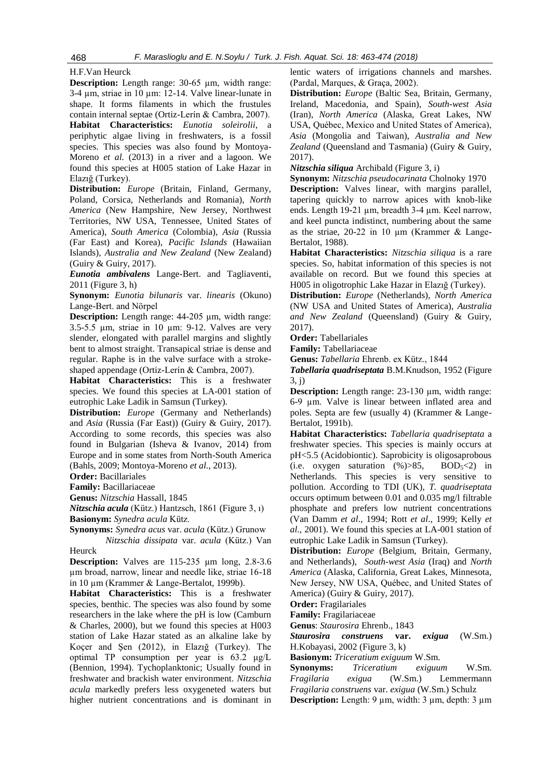## [H.F.Van Heurck](http://www.algaebase.org/search/species/detail/?species_id=y53a90a7ec1d25635)

**Description:** Length range: 30-65 µm, width range: 3-4 µm, striae in 10 µm: 12-14. Valve linear-lunate in shape. It forms filaments in which the frustules contain internal septae (Ortiz-Lerín & Cambra, 2007).

**Habitat Characteristics:** *Eunotia soleirolii*, a periphytic algae living in freshwaters, is a fossil species. This species was also found by Montoya-Moreno *et al.* (2013) in a river and a lagoon. We found this species at H005 station of Lake Hazar in Elazığ (Turkey).

**Distribution:** *Europe* (Britain, Finland, Germany, Poland, Corsica, Netherlands and Romania), *North America* (New Hampshire, New Jersey, Northwest Territories, NW USA, Tennessee, United States of America), *South America* (Colombia), *Asia* (Russia (Far East) and Korea), *Pacific Islands* (Hawaiian Islands), *Australia and New Zealand* (New Zealand) (Guiry & Guiry, 2017).

*Eunotia ambivalens* Lange-Bert. and Tagliaventi, 2011 (Figure 3, h)

**Synonym:** *[Eunotia bilunaris](http://www.algaebase.org/search/species/detail/?species_id=S9ecc5e4f7615b0db)* var. *linearis* (Okuno) [Lange-Bert. and Nörpel](http://www.algaebase.org/search/species/detail/?species_id=S9ecc5e4f7615b0db)

**Description:** Length range: 44-205 µm, width range: 3.5-5.5 µm, striae in 10 µm: 9-12. Valves are very slender, elongated with parallel margins and slightly bent to almost straight. Transapical striae is dense and regular. Raphe is in the valve surface with a strokeshaped appendage (Ortiz-Lerín & Cambra, 2007).

**Habitat Characteristics:** This is a freshwater species. We found this species at LA-001 station of eutrophic Lake Ladik in Samsun (Turkey).

**Distribution:** *Europe* (Germany and Netherlands) and *Asia* (Russia (Far East)) (Guiry & Guiry, 2017). According to some records, this species was also found in Bulgarian (Isheva & Ivanov, 2014) from Europe and in some states from North-South America (Bahls, 2009; Montoya-Moreno *et al.*, 2013).

**Order:** [Bacillariales](http://www.algaebase.org/browse/taxonomy/?id=4416)

**Family:** [Bacillariaceae](http://www.algaebase.org/browse/taxonomy/?id=77640)

**Genus:** *[Nitzschia](http://www.algaebase.org/browse/taxonomy/?id=77651)* Hassall, 1845

*Nitzschia acula* (Kütz.) Hantzsch, 1861 (Figure 3, ı)

**Basionym:** *Synedra acula* Kütz.

**Synonyms:** *Synedra acus* var. *acula* (Kütz.) Grunow  *Nitzschia dissipata* var. *acula* (Kütz.) Van

Heurck

**Description:** Valves are 115-235 µm long, 2.8-3.6 µm broad, narrow, linear and needle like, striae 16-18 in 10 μm (Krammer & Lange-Bertalot, 1999b).

**Habitat Characteristics:** This is a freshwater species, benthic. The species was also found by some researchers in the lake where the pH is low (Camburn & Charles, 2000), but we found this species at H003 station of Lake Hazar stated as an alkaline lake by Koçer and Şen (2012), in Elazığ (Turkey). The optimal TP consumption per year is 63.2 μg/L (Bennion, 1994). Tychoplanktonic; Usually found in freshwater and brackish water environment. *Nitzschia acula* markedly prefers less oxygeneted waters but higher nutrient concentrations and is dominant in lentic waters of irrigations channels and marshes. (Pardal, Marques, & Graça, 2002).

**Distribution:** *Europe* (Baltic Sea, Britain, Germany, Ireland, Macedonia, and Spain), *South-west Asia* (Iran), *North America* (Alaska, Great Lakes, NW USA, Québec, Mexico and United States of America), *Asia* (Mongolia and Taiwan), *Australia and New Zealand* (Queensland and Tasmania) (Guiry & Guiry, 2017).

*Nitzschia siliqua* Archibald (Figure 3, i)

**Synonym:** *Nitzschia pseudocarinata* Cholnoky 1970 **Description:** Valves linear, with margins parallel, tapering quickly to narrow apices with knob-like ends. Length 19-21 um, breadth 3-4 um. Keel narrow, and keel puncta indistinct, numbering about the same as the striae,  $20-22$  in 10  $\mu$ m (Krammer & Lange-Bertalot, 1988).

**Habitat Characteristics:** *Nitzschia siliqua* is a rare species. So, habitat information of this species is not available on record. But we found this species at H005 in oligotrophic Lake Hazar in Elazığ (Turkey).

**Distribution:** *Europe* (Netherlands), *North America* (NW USA and United States of America), *Australia and New Zealand* (Queensland) (Guiry & Guiry, 2017).

**Order:** [Tabellariales](http://www.algaebase.org/browse/taxonomy/?id=77844)

**Family:** [Tabellariaceae](http://www.algaebase.org/browse/taxonomy/?id=77883)

**Genus:** *[Tabellaria](http://www.algaebase.org/browse/taxonomy/?id=77985)* Ehrenb. ex Kütz., 1844

*Tabellaria quadriseptata* B.M.Knudson, 1952 (Figure 3, j)

**Description:** Length range: 23-130 um, width range: 6-9 µm. Valve is linear between inflated area and poles. Septa are few (usually 4) (Krammer & Lange-Bertalot, 1991b).

**Habitat Characteristics:** *Tabellaria quadriseptata* a freshwater species. This species is mainly occurs at pH<5.5 (Acidobiontic). Saprobicity is oligosaprobous (i.e. oxygen saturation  $(\%) > 85$ , BOD<sub>5</sub><2) in Netherlands. This species is very sensitive to pollution. According to TDI (UK), *T. quadriseptata* occurs optimum between 0.01 and 0.035 mg/l filtrable phosphate and prefers low nutrient concentrations (Van Damm *et al*., 1994; Rott *et al*., 1999; Kelly *et al*., 2001). We found this species at LA-001 station of eutrophic Lake Ladik in Samsun (Turkey).

**Distribution:** *Europe* (Belgium, Britain, Germany, and Netherlands), *South-west Asia* (Iraq) and *North America* (Alaska, California, Great Lakes, Minnesota, New Jersey, NW USA, Québec, and United States of America) (Guiry & Guiry, 2017).

**Order:** Fragilariales

**Family:** Fragilariaceae

**Genus**: *Staurosira* Ehrenb., 1843

*Staurosira construens* **var.** *exigua* (W.Sm.) H.Kobayasi, 2002 (Figure 3, k)

**Basionym:** *[Triceratium exiguum](http://www.algaebase.org/search/species/detail/?species_id=n1d5dd941d842841f)* W.Sm.

**Synonyms:** *[Triceratium](http://www.algaebase.org/search/species/detail/?species_id=K1d5dd941d842841f) exiguum* W.Sm. *Fragilaria exigua* [\(W.Sm.\) Lemmermann](http://www.algaebase.org/search/species/detail/?species_id=r42db0c211844308d) *[Fragilaria construens](http://www.algaebase.org/search/species/detail/?species_id=h9550b4bae711edfe)* var. *exigua* (W.Sm.) Schulz **Description:** Length:  $9 \mu m$ , width:  $3 \mu m$ , depth:  $3 \mu m$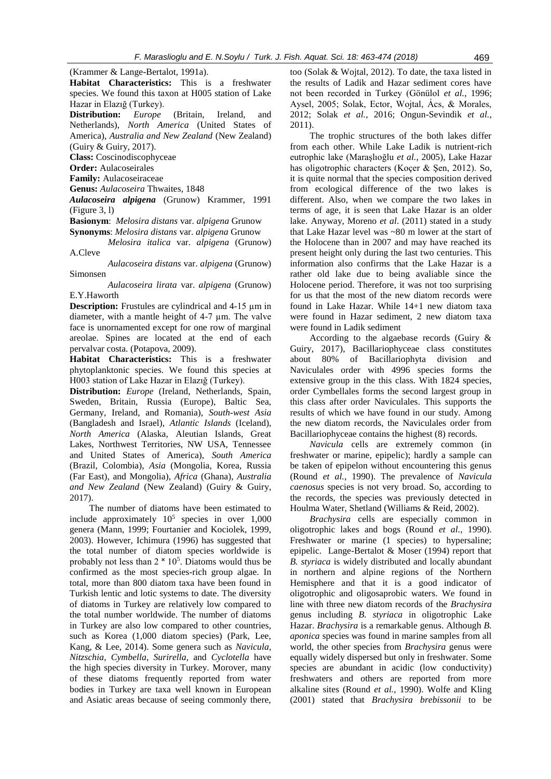(Krammer & Lange-Bertalot, 1991a).

**Habitat Characteristics:** This is a freshwater species. We found this taxon at H005 station of Lake Hazar in Elazığ (Turkey).

**Distribution:** *Europe* (Britain, Ireland, and Netherlands), *North America* (United States of America), *Australia and New Zealand* (New Zealand) (Guiry & Guiry, 2017).

**Class:** Coscinodiscophyceae

**Order:** Aulacoseirales

**Family:** Aulacoseiraceae

**Genus:** *Aulacoseira* Thwaites, 1848

*[Aulacoseira](http://westerndiatoms.colorado.edu/taxa/genus/Aulacoseira) alpigena* (Grunow) Krammer, 1991 (Figure 3, l)

**Basionym**: *Melosira distans* var. *alpigena* Grunow

**Synonyms**: *Melosira distans* var. *alpigena* Grunow

 *Melosira italica* var. *alpigena* (Grunow) A.Cleve

 *Aulacoseira distans* var. *alpigena* (Grunow) Simonsen

 *Aulacoseira lirata* var. *alpigena* (Grunow) E.Y.Haworth

**Description:** Frustules are cylindrical and 4-15  $\mu$ m in diameter, with a mantle height of 4-7 µm. The valve face is unornamented except for one row of marginal areolae. Spines are located at the end of each pervalvar costa. (Potapova, 2009).

**Habitat Characteristics:** This is a freshwater phytoplanktonic species. We found this species at H003 station of Lake Hazar in Elazığ (Turkey).

**Distribution:** *Europe* (Ireland, Netherlands, Spain, Sweden, Britain, Russia (Europe), Baltic Sea, Germany, Ireland, and Romania), *South-west Asia* (Bangladesh and Israel), *Atlantic Islands* (Iceland), *North America* (Alaska, Aleutian Islands, Great Lakes, Northwest Territories, NW USA, Tennessee and United States of America), *South America* (Brazil, Colombia), *Asia* (Mongolia, Korea, Russia (Far East), and Mongolia), *Africa* (Ghana), *Australia and New Zealand* (New Zealand) (Guiry & Guiry, 2017).

The number of diatoms have been estimated to include approximately  $10^5$  species in over 1,000 genera (Mann, 1999; Fourtanier and Kociolek, 1999, 2003). However, Ichimura (1996) has suggested that the total number of diatom species worldwide is probably not less than  $2 \times 10^5$ . Diatoms would thus be confirmed as the most species-rich group algae. In total, more than 800 diatom taxa have been found in Turkish lentic and lotic systems to date. The diversity of diatoms in Turkey are relatively low compared to the total number worldwide. The number of diatoms in Turkey are also low compared to other countries, such as Korea (1,000 diatom species) (Park, Lee, Kang, & Lee, 2014). Some genera such as *Navicula*, *Nitzschia*, *Cymbella*, *Surirella*, and *Cyclotella* have the high species diversity in Turkey. Morover, many of these diatoms frequently reported from water bodies in Turkey are taxa well known in European and Asiatic areas because of seeing commonly there,

too (Solak & Wojtal, 2012). To date, the taxa listed in the results of Ladik and Hazar sediment cores have not been recorded in Turkey (Gönülol *et al.*, 1996; Aysel, 2005; Solak, Ector, Wojtal, Ács, & Morales, 2012; Solak *et al.,* 2016; Ongun-Sevindik *et al.*, 2011).

The trophic structures of the both lakes differ from each other. While Lake Ladik is nutrient-rich eutrophic lake (Maraşlıoğlu *et al.*, 2005), Lake Hazar has oligotrophic characters (Koçer & Şen, 2012). So, it is quite normal that the species composition derived from ecological difference of the two lakes is different. Also, when we compare the two lakes in terms of age, it is seen that Lake Hazar is an older lake. Anyway, Moreno *et al*. (2011) stated in a study that Lake Hazar level was ~80 m lower at the start of the Holocene than in 2007 and may have reached its present height only during the last two centuries. This information also confirms that the Lake Hazar is a rather old lake due to being avaliable since the Holocene period. Therefore, it was not too surprising for us that the most of the new diatom records were found in Lake Hazar. While 14+1 new diatom taxa were found in Hazar sediment, 2 new diatom taxa were found in Ladik sediment

According to the algaebase records (Guiry & Guiry, 2017), Bacillariophyceae class constitutes about 80% of Bacillariophyta division and Naviculales order with 4996 species forms the extensive group in the this class. With 1824 species, order Cymbellales forms the second largest group in this class after order Naviculales. This supports the results of which we have found in our study. Among the new diatom records, the Naviculales order from Bacillariophyceae contains the highest (8) records.

*Navicula* cells are extremely common (in freshwater or marine, epipelic); hardly a sample can be taken of epipelon without encountering this genus (Round *et al.*, 1990). The prevalence of *Navicula caenosus* species is not very broad. So, according to the records, the species was previously detected in Houlma Water, Shetland (Williams & Reid, 2002).

*Brachysira* cells are especially common in oligotrophic lakes and bogs (Round *et al.*, 1990). Freshwater or marine (1 species) to hypersaline; epipelic. Lange-Bertalot & Moser (1994) report that *B. styriaca* is widely distributed and locally abundant in northern and alpine regions of the Northern Hemisphere and that it is a good indicator of oligotrophic and oligosaprobic waters. We found in line with three new diatom records of the *Brachysira* genus including *B. styriaca* in oligotrophic Lake Hazar. *Brachysira* is a remarkable genus. Although *B. aponica* species was found in marine samples from all world, the other species from *Brachysira* genus were equally widely dispersed but only in freshwater. Some species are abundant in acidic (low conductivity) freshwaters and others are reported from more alkaline sites (Round *et al.*, 1990). Wolfe and Kling (2001) stated that *Brachysira brebissonii* to be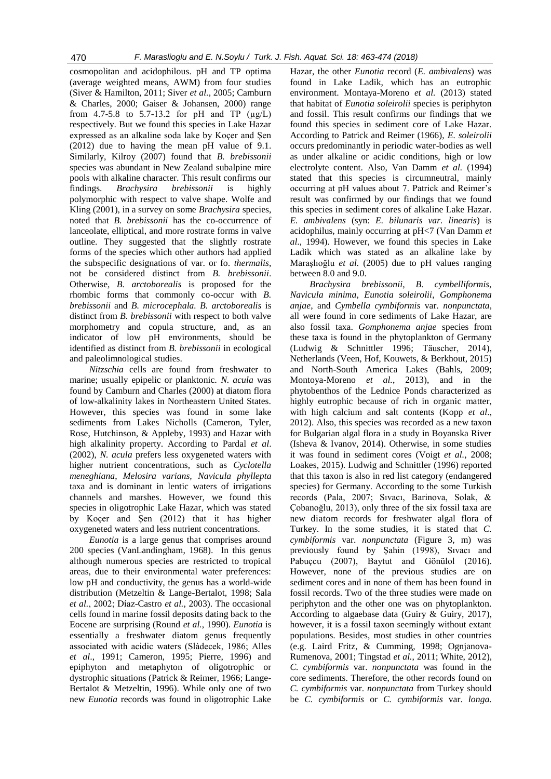cosmopolitan and acidophilous. pH and TP optima (average weighted means, AWM) from four studies (Siver & Hamilton, 2011; Siver *et al.*, 2005; Camburn & Charles, 2000; Gaiser & Johansen, 2000) range from 4.7-5.8 to 5.7-13.2 for pH and TP  $(\mu g/L)$ respectively. But we found this species in Lake Hazar expressed as an alkaline soda lake by Koçer and Şen (2012) due to having the mean pH value of 9.1. Similarly, Kilroy (2007) found that *B. brebissonii* species was abundant in New Zealand subalpine mire pools with alkaline character. This result confirms our findings. *Brachysira brebissonii* is highly polymorphic with respect to valve shape. Wolfe and Kling (2001), in a survey on some *Brachysira* species, noted that *B. brebissonii* has the co-occurrence of lanceolate, elliptical, and more rostrate forms in valve outline. They suggested that the slightly rostrate forms of the species which other authors had applied the subspecific designations of var. or fo. *thermalis*, not be considered distinct from *B. brebissonii*. Otherwise, *B. arctoborealis* is proposed for the rhombic forms that commonly co-occur with *B. brebissonii* and *B. microcephala. B. arctoborealis* is distinct from *B. brebissonii* with respect to both valve morphometry and copula structure, and, as an indicator of low pH environments, should be identified as distinct from *B. brebissonii* in ecological and paleolimnological studies.

*Nitzschia* cells are found from freshwater to marine; usually epipelic or planktonic. *N. acula* was found by Camburn and Charles (2000) at diatom flora of low-alkalinity lakes in Northeastern United States. However, this species was found in some lake sediments from Lakes Nicholls (Cameron, Tyler, Rose, Hutchinson, & Appleby, 1993) and Hazar with high alkalinity property. According to Pardal *et al*. (2002), *N. acula* prefers less oxygeneted waters with higher nutrient concentrations, such as *Cyclotella meneghiana*, *Melosira varians, Navicula phyllepta*  taxa and is dominant in lentic waters of irrigations channels and marshes. However, we found this species in oligotrophic Lake Hazar, which was stated by Koçer and Şen (2012) that it has higher oxygeneted waters and less nutrient concentrations.

*Eunotia* is a large genus that comprises around 200 species (VanLandingham, 1968). In this genus although numerous species are restricted to tropical areas, due to their environmental water preferences: low pH and conductivity, the genus has a world-wide distribution (Metzeltin & Lange-Bertalot, 1998; Sala *et al.*, 2002; Díaz-Castro *et al.*, 2003). The occasional cells found in marine fossil deposits dating back to the Eocene are surprising (Round *et al.*, 1990). *Eunotia* is essentially a freshwater diatom genus frequently associated with acidic waters (Slàdecek, 1986; Alles *et al*., 1991; Cameron, 1995; Pierre, 1996) and epiphyton and metaphyton of oligotrophic or dystrophic situations (Patrick & Reimer, 1966; Lange-Bertalot & Metzeltin, 1996). While only one of two new *Eunotia* records was found in oligotrophic Lake

Hazar, the other *Eunotia* record (*E. ambivalens*) was found in Lake Ladik, which has an eutrophic environment. Montaya-Moreno et al. (2013) stated that habitat of *Eunotia soleirolii* species is periphyton and fossil. This result confirms our findings that we found this species in sediment core of Lake Hazar. According to Patrick and Reimer (1966), *E. soleirolii* occurs predominantly in periodic water-bodies as well as under alkaline or acidic conditions, high or low electrolyte content. Also, Van Damm *et al.* (1994) stated that this species is circumneutral, mainly occurring at pH values about 7. Patrick and Reimer's result was confirmed by our findings that we found this species in sediment cores of alkaline Lake Hazar. *E. ambivalens* (syn: *E. bilunaris var. linearis*) is acidophilus, mainly occurring at pH<7 (Van Damm *et al*., 1994). However, we found this species in Lake Ladik which was stated as an alkaline lake by Maraşlıoğlu *et al.* (2005) due to pH values ranging between 8.0 and 9.0.

*Brachysira brebissonii*, *B. cymbelliformis*, *Navicula minima*, *Eunotia soleirolii*, *Gomphonema anjae*, and *Cymbella cymbiformis* var. *nonpunctata*, all were found in core sediments of Lake Hazar, are also fossil taxa. *Gomphonema anjae* species from these taxa is found in the phytoplankton of Germany [\(Ludwig & Schnittler 1996;](http://www.algaebase.org/search/bibliography/detail/?biblio_id=Ea816917e51a671ab) [Täuscher, 2014\)](http://www.algaebase.org/search/bibliography/detail/?biblio_id=q5e66bbe6b3f66498), Netherlands (Veen, Hof, Kouwets, & Berkhout, 2015) and North-South America Lakes [\(Bahls, 2009;](http://www.algaebase.org/search/bibliography/detail/?biblio_id=U67cbe359d9f8decb) [Montoya-Moreno](http://www.algaebase.org/search/bibliography/detail/?biblio_id=nc05eecfcdc4e3a72) *et al.*, 2013), and in the phytobenthos of the Lednice Ponds characterized as highly eutrophic because of rich in organic matter, with high calcium and salt contents (Kopp *et al*., 2012). Also, this species was recorded as a new taxon for Bulgarian algal flora in a study in Boyanska River (Isheva & Ivanov, 2014). Otherwise, in some studies it was found in sediment cores (Voigt *et al.*, 2008; Loakes, 2015). Ludwig and Schnittler (1996) reported that this taxon is also in red list category (endangered species) for Germany. According to the some Turkish records (Pala, 2007; Sıvacı, Barinova, Solak, & Çobanoğlu, 2013), only three of the six fossil taxa are new diatom records for freshwater algal flora of Turkey. In the some studies, it is stated that *C. cymbiformis* var. *nonpunctata* (Figure 3, m) was previously found by Şahin (1998), Sıvacı and Pabuçcu (2007), Baytut and Gönülol (2016). However, none of the previous studies are on sediment cores and in none of them has been found in fossil records. Two of the three studies were made on periphyton and the other one was on phytoplankton. According to algaebase data (Guiry & Guiry, 2017), however, it is a fossil taxon seemingly without extant populations. Besides, most studies in other countries (e.g. Laird Fritz, & Cumming, 1998; Ognjanova-Rumenova, 2001; Tingstad *et al.*, 2011; White, 2012), *C. cymbiformis* var. *nonpunctata* was found in the core sediments. Therefore, the other records found on *C. cymbiformis* var. *nonpunctata* from Turkey should be *C. cymbiformis* or *C. cymbiformis* var. *longa.*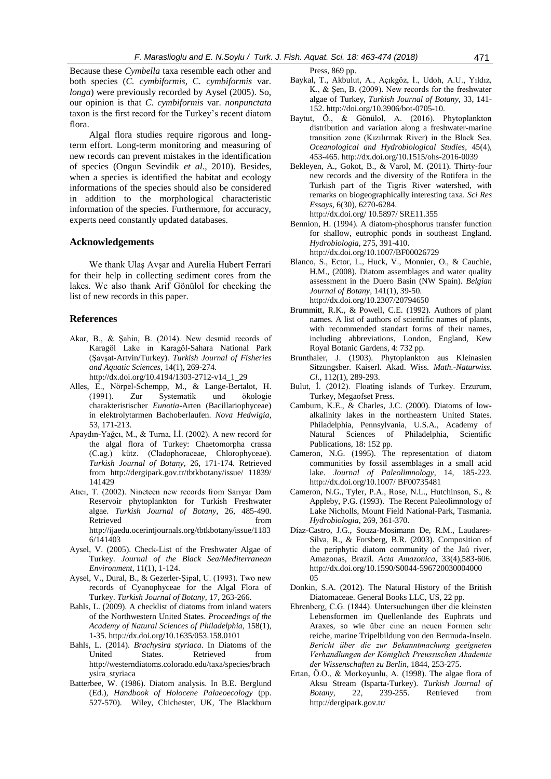Because these *Cymbella* taxa resemble each other and both species (*C. cymbiformis*, C*. cymbiformis* var. *longa*) were previously recorded by Aysel (2005). So, our opinion is that *C. cymbiformis* var. *nonpunctata*  taxon is the first record for the Turkey's recent diatom flora.

Algal flora studies require rigorous and longterm effort. Long-term monitoring and measuring of new records can prevent mistakes in the identification of species (Ongun Sevindik *et al*., 2010). Besides, when a species is identified the habitat and ecology informations of the species should also be considered in addition to the morphological characteristic information of the species. Furthermore, for accuracy, experts need constantly updated databases.

### **Acknowledgements**

We thank Ulaş Avşar and Aurelia Hubert Ferrari for their help in collecting sediment cores from the lakes. We also thank Arif Gönülol for checking the list of new records in this paper.

### **References**

- Akar, B., & Şahin, B. (2014). New desmid records of Karagöl Lake in Karagöl-Sahara National Park (Şavşat-Artvin/Turkey). *Turkish Journal of Fisheries and Aquatic Sciences*, 14(1), 269-274. http://dx.doi.org/10.4194/1303-2712-v14\_1\_29
- Alles, E., Nörpel-Schempp, M., & Lange-Bertalot, H. (1991). Zur Systematik und ökologie charakteristischer *Eunotia*-Arten (Bacillariophyceae) in elektrolytarmen Bachoberlaufen. *Nova Hedwigia*, 53, 171-213.
- Apaydın-Yağcı, M., & Turna, İ.İ. (2002). A new record for the algal flora of Turkey: Chaetomorpha crassa (C.ag.) kütz. (Cladophoraceae, Chlorophyceae). *Turkish Journal of Botany*, 26, 171-174. Retrieved from [http://dergipark.gov.tr/t](http://dergipark.gov.tr/)btkbotany/issue/ 11839/ 141429
- Atıcı, T. (2002). Nineteen new records from Sarıyar Dam Reservoir phytoplankton for Turkish Freshwater algae. *Turkish Journal of Botany*, 26, 485-490. Retrieved from http://ijaedu.ocerintjournals.org/tbtkbotany/issue/1183 6/141403
- Aysel, V. (2005). Check-List of the Freshwater Algae of Turkey. *Journal of the Black Sea/Mediterranean Environment*, 11(1), 1-124.
- Aysel, V., Dural, B., & Gezerler-Şipal, U. (1993). Two new records of Cyanophyceae for the Algal Flora of Turkey. *Turkish Journal of Botany*, 17, 263-266.
- Bahls, L. (2009). A checklist of diatoms from inland waters of the Northwestern United States. *Proceedings of the Academy of Natural Sciences of Philadelphia*, 158(1), 1-35. http://dx.doi.org/10.1635/053.158.0101
- Bahls, L. (2014). *Brachysira styriaca*. In Diatoms of the United States. Retrieved from [http://westerndiatoms.colorado.edu/taxa/species/b](http://westerndiatoms.colorado.edu/taxa/species/)rach ysira\_styriaca
- Batterbee, W. (1986). Diatom analysis. In B.E. Berglund (Ed.), *Handbook of Holocene Palaeoecology* (pp. 527-570). Wiley, Chichester, UK, The Blackburn

Press, 869 pp.

- Baykal, T., Akbulut, A., Açıkgöz, İ., Udoh, A.U., Yıldız, K., & Şen, B. (2009). New records for the freshwater algae of Turkey, *Turkish Journal of Botany*, 33, 141- 152. http://doi.org/10.3906/bot-0705-10.
- Baytut, Ö., & Gönülol, A. (2016). Phytoplankton distribution and variation along a freshwater-marine transition zone (Kızılırmak River) in the Black Sea. *Oceanological and Hydrobiological Studies*, 45(4), 453-465[. http://dx.doi.org/1](http://dx.doi.org/)0.1515/ohs-2016-0039
- Bekleyen, A., Gokot, B., & Varol, M. (2011). Thirty-four new records and the diversity of the Rotifera in the Turkish part of the Tigris River watershed, with remarks on biogeographically interesting taxa. *Sci Res Essays*, 6(30), 6270-6284. <http://dx.doi.org/> 10.5897/ SRE11.355
- Bennion, H. (1994). A diatom-phosphorus transfer function for shallow, eutrophic ponds in southeast England. *Hydrobiologia*, 275, 391-410. http://dx.doi.org/10.1007/BF00026729
- Blanco, S., Ector, L., Huck, V., Monnier, O., & Cauchie, H.M., (2008). Diatom assemblages and water quality assessment in the Duero Basin (NW Spain). *Belgian Journal of Botany*, 141(1), 39-50. http://dx.doi.org/10.2307/20794650
- Brummitt, R.K., & Powell, C.E. (1992). Authors of plant names. A list of authors of scientific names of plants, with recommended standart forms of their names, including abbreviations, London, England, Kew Royal Botanic Gardens, 4: 732 pp.
- Brunthaler, J. (1903). Phytoplankton aus Kleinasien Sitzungsber. Kaiserl. Akad. Wiss. *Math.-Naturwiss. Cl*., 112(1), 289-293.
- Bulut, İ. (2012). Floating islands of Turkey. Erzurum, Turkey, Megaofset Press.
- Camburn, K.E., & Charles, J.C. (2000). Diatoms of lowalkalinity lakes in the northeastern United States. Philadelphia, Pennsylvania, U.S.A., Academy of Natural Sciences of Philadelphia, Scientific Publications, 18: 152 pp.
- Cameron, N.G. (1995). The representation of diatom communities by fossil assemblages in a small acid lake. *Journal of Paleolimnology*, 14, 185-223. [http://dx.doi.org/1](http://dx.doi.org/)0.1007/ BF00735481
- Cameron, N.G., Tyler, P.A., Rose, N.L., Hutchinson, S., & Appleby, P.G. (1993). The Recent Paleolimnology of Lake Nicholls, Mount Field National-Park, Tasmania. *Hydrobiologia*, 269, 361-370.
- Díaz-Castro, J.G., Souza-Mosimann De, R.M., Laudares-Silva, R., & Forsberg, B.R. (2003). Composition of the periphytic diatom community of the Jaú river, Amazonas, Brazil. *Acta Amazonica*, 33(4),583-606. [http://dx.doi.org/10.1590/S0044-596720030004000](http://dx.doi.org/10.1590/S0044-596720030004000%200)  [05](http://dx.doi.org/10.1590/S0044-596720030004000%200)
- Donkin, S.A. (2012). The Natural History of the British Diatomaceae. General Books LLC, US, 22 pp.
- Ehrenberg, C.G. (1844). Untersuchungen über die kleinsten Lebensformen im Quellenlande des Euphrats und Araxes, so wie über eine an neuen Formen sehr reiche, marine Tripelbildung von den Bermuda-Inseln. *Bericht über die zur Bekanntmachung geeigneten Verhandlungen der Königlich Preussischen Akademie der Wissenschaften zu Berlin*, 1844, 253-275.
- Ertan, Ö.O., & Morkoyunlu, A. (1998). The algae flora of Aksu Stream (Isparta-Turkey). *Turkish Journal of Botany*, 22, 239-255. Retrieved from <http://dergipark.gov.tr/>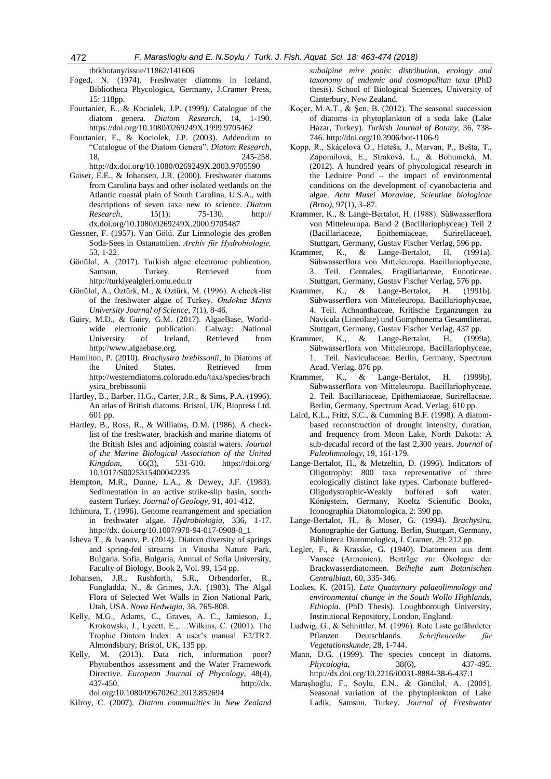tbtkbotany/issue/11862/141606

- Foged, N. (1974). Freshwater diatoms in Iceland. Bibliotheca Phycologica, Germany, J.Cramer Press, 15: 118pp.
- Fourtanier, E., & Kociolek, J.P. (1999). Catalogue of the diatom genera. *Diatom Research*, 14, 1-190. https://doi.org/10.1080/0269249X.1999.9705462
- Fourtanier, E., & Kociolek, J.P. (2003). Addendum to "Catalogue of the Diatom Genera". *Diatom Research*, 18, 245-258. <http://dx.doi.org/10.1080/0269249X.2003.9705590>
- Gaiser, E.E., & Johansen, J.R. (2000). Freshwater diatoms from Carolina bays and other isolated wetlands on the Atlantic coastal plain of South Carolina, U.S.A., with descriptions of seven taxa new to science. *Diatom Research*, 15(1): 75-130. http:// dx.doi.org/10.1080/0269249X.2000.9705487
- Gessner, F. (1957). Van Gölü. Zur Limnologie des großen Soda-Sees in Ostanatolien. *Archiv für Hydrobiologie,* 53, 1-22.
- Gönülol, A. (2017). Turkish algae electronic publication, Samsun, Turkey. Retrieved from [http://turkiyealgleri.omu.edu.tr](http://turkiyealgleri.omu.edu.tr/)
- Gönülol, A., Öztürk, M., & Öztürk, M. (1996). A check-list of the freshwater algae of Turkey. *Ondokuz Mayıs University Journal of Science*, 7(1), 8-46.
- Guiry, M.D., & Guiry, G.M. (2017). AlgaeBase, Worldwide electronic publication. Galway: National University of Ireland, Retrieved from [http://www.algaebase.org.](http://www.algaebase.org/)
- Hamilton, P. (2010). *Brachysira brebissonii*, In Diatoms of the United States. Retrieved from [http://westerndiatoms.colorado.edu/taxa/species/brach](http://westerndiatoms.colorado.edu/taxa/species/brachysira_brebissonii) [ysira\\_brebissonii](http://westerndiatoms.colorado.edu/taxa/species/brachysira_brebissonii)
- Hartley, B., Barber, H.G., Carter, J.R., & Sims, P.A. (1996). An atlas of British diatoms. Bristol, UK, Biopress Ltd. 601 pp.
- Hartley, B., Ross, R., & Williams, D.M. (1986). A checklist of the freshwater, brackish and marine diatoms of the British Isles and adjoining coastal waters. *Journal of the Marine Biological Association of the United Kingdom*, 66(3), 531-610. https://doi.org/ 10.1017/S0025315400042235
- Hempton, M.R., Dunne, L.A., & Dewey, J.F. (1983). Sedimentation in an active strike-slip basin, southeastern Turkey. *Journal of Geology*, 91, 401-412.
- Ichimura, T. (1996). Genome rearrangement and speciation in freshwater algae. *Hydrobiologia*, 336, 1-17. http://dx. doi.org/10.1007/978-94-017-0908-8\_1
- Isheva T., & Ivanov, P. (2014). Diatom diversity of springs and spring-fed streams in Vitosha Nature Park, Bulgaria. Sofia, Bulgaria, Annual of Sofia University, Faculty of Biology, Book 2, Vol. 99, 154 pp.
- Johansen, J.R., Rushforth, S.R., Orbendorfer, R., Fungladda, N., & Grimes, J.A. (1983). The Algal Flora of Selected Wet Walls in Zion National Park, Utah, USA. *Nova Hedwigia*, 38, 765-808.
- Kelly, M.G., Adams, C., Graves, A. C., Jamieson, J., Krokowski, J., Lycett, E.,….Wilkins, C. (2001). The Trophic Diatom Index: A user's manual. E2/TR2. Almondsbury, Bristol, UK, 135 pp.
- Kelly, M. (2013). Data rich, information poor? Phytobenthos assessment and the Water Framework Directive. *European Journal of Phycology*, 48(4), 437-450. http://dx. doi.org/10.1080/09670262.2013.852694

Kilroy, C. (2007). *Diatom communities in New Zealand* 

*subalpine mire pools: distribution, ecology and taxonomy of endemic and cosmopolitan taxa* (PhD thesis). School of Biological Sciences, University of Canterbury, New Zealand.

- Koçer, M.A.T., & Şen, B. (2012). The seasonal succession of diatoms in phytoplankton of a soda lake (Lake Hazar, Turkey). *Turkish Journal of Botany*, 36, 738- 746. http://doi.org/10.3906/bot-1106-9
- Kopp, R., Skácelová O., Heteša, J., Marvan, P., Bešta, T., Zapomìlová, E., Straková, L., & Bohunická, M. (2012). A hundred years of phycological research in the Lednice Pond – the impact of environmental conditions on the development of cyanobacteria and algae. *Acta Musei Moraviae, Scientiae biologicae (Brno)*, 97(1), 3–87.
- Krammer, K., & Lange-Bertalot, H. (1988). Süßwasserflora von Mitteleuropa. Band 2 (Bacillariophyceae) Teil 2 (Bacillariaceae, Epithemiaceae, Surirellaceae). Stuttgart, Germany, Gustav Fischer Verlag, 596 pp.
- Krammer, K., & Lange-Bertalot, H. (1991a). Sübwasserflora von Mitteleuropa. Bacillariophyceae, 3. Teil. Centrales, Fragillariaceae, Eunoticeae. Stuttgart, Germany, Gustav Fischer Verlag, 576 pp.
- Krammer, K., & Lange-Bertalot, H. (1991b). Sübwasserflora von Mitteleuropa. Bacillariophyceae, 4. Teil. Achnanthaceae, Kritische Erganzungen zu Navicula (Lineolate) und Gomphonema Gesamtliterat. Stuttgart, Germany, Gustav Fischer Verlag, 437 pp.
- Krammer, K., & Lange-Bertalot, H. (1999a). Sübwasserflora von Mitteleuropa. Bacillariophyceae, 1. Teil. Naviculaceae. Berlin, Germany, Spectrum Acad. Verlag, 876 pp.
- Krammer, K., & Lange-Bertalot, H. (1999b). Sübwasserflora von Mitteleuropa. Bacillariophyceae, 2. Teil. Bacillariaceae, Epithemiaceae, Surirellaceae. Berlin, Germany, Spectrum Acad. Verlag, 610 pp.
- Laird, K.L., Fritz, S.C., & Cumming B.F. (1998). A diatombased reconstruction of drought intensity, duration, and frequency from Moon Lake, North Dakota: A sub-decadal record of the last 2,300 years. *Journal of Paleolimnology*, 19, 161-179.
- Lange-Bertalot, H., & Metzeltin, D. (1996). Indicators of Oligotrophy: 800 taxa representative of three ecologically distinct lake types. Carbonate buffered-Oligodystrophic-Weakly buffered soft water. Königstein, Germany, Koeltz Scientific Books, Iconographia Diatomologica, 2: 390 pp.
- Lange-Bertalot, H., & Moser, G. (1994). *Brachysira*. Monographie der Gattung. Berlin, Stuttgart, Germany, Biblioteca Diatomologica, J. Cramer, 29: 212 pp.
- Legler, F., & Krasske, G. (1940). Diatomeen aus dem Vansee (Armenien). Beiträge zur Ökologie der Brackwasserdiatomeen. *Beihefte zum Botanischen Centralblatt,* 60, 335-346.
- Loakes, K. (2015). *Late Quaternary palaeolimnology and environmental change in the South Wollo Highlands, Ethiopia*. (PhD Thesis). Loughborough University, Institutional Repository, London, England.
- Ludwig, G., & Schnittler, M. (1996). Rote Liste gefährdeter Pflanzen Deutschlands. *Schriftenreihe für Vegetationskunde*, 28, 1-744.
- Mann, D.G. (1999). The species concept in diatoms. *Phycologia*, 38(6), 437-495. http://dx.doi.org/10.2216/i0031-8884-38-6-437.1
- Maraşlıoğlu, F., Soylu, E.N., & Gönülol, A. (2005). Seasonal variation of the phytoplankton of Lake Ladik, Samsun, Turkey. *Journal of Freshwater*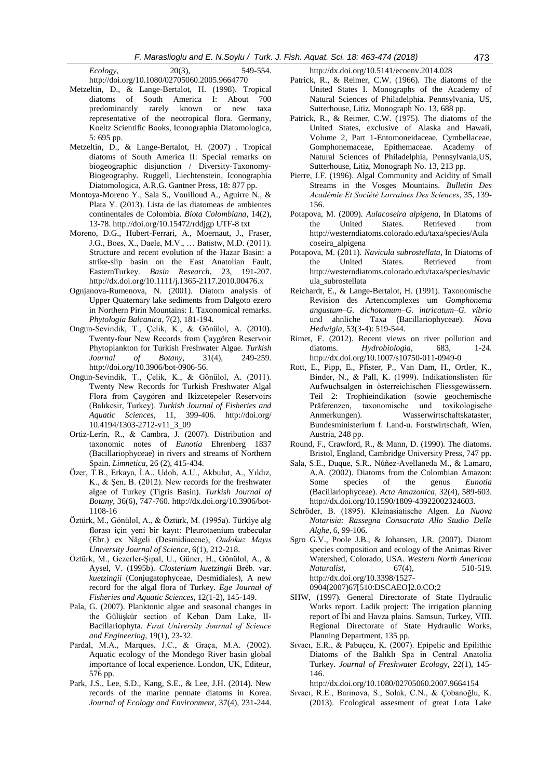- *Ecology*, 20(3), 549-554.
- http://doi.org/10.1080/02705060.2005.9664770
- Metzeltin, D., & Lange-Bertalot, H. (1998). Tropical diatoms of South America I: About 700 predominantly rarely known or new taxa representative of the neotropical flora. Germany, Koeltz Scientific Books, Iconographia Diatomologica, 5: 695 pp.
- Metzeltin, D., & Lange-Bertalot, H. (2007) . Tropical diatoms of South America II: Special remarks on biogeographic disjunction / Diversity-Taxonomy-Biogeography. Ruggell, Liechtenstein, Iconographia Diatomologica, A.R.G. Gantner Press, 18: 877 pp.
- Montoya-Moreno Y., Sala S., Vouilloud A., Aguirre N., & Plata Y. (2013). Lista de las diatomeas de ambientes continentales de Colombia. *Biota Colombiana*, 14(2), 13-78. http://doi.org/10.15472/rddjgp UTF-8 txt
- Moreno, D.G., Hubert-Ferrari, A., Moernaut, J., Fraser, J.G., Boes, X., Daele, M.V., … Batistw, M.D. (2011). Structure and recent evolution of the Hazar Basin: a strike-slip basin on the East Anatolian Fault, EasternTurkey. *Basin Research*, 23, 191-207. http://dx.doi.org/10.1111/j.1365-2117.2010.00476.x
- Ognjanova-Rumenova, N. (2001). Diatom analysis of Upper Quaternary lake sediments from Dalgoto ezero in Northern Pirin Mountains: I. Taxonomical remarks. *Phytologia Balcanica*, 7(2), 181-194.
- Ongun-Sevindik, T., Çelik, K., & Gönülol, A. (2010). Twenty-four New Records from Çaygören Reservoir Phytoplankton for Turkish Freshwater Algae. *Turkish Journal of Botany*, 31(4), 249-259. http://doi.org/10.3906/bot-0906-56.
- Ongun-Sevindik, T., Çelik, K., & Gönülol, A. (2011). Twenty New Records for Turkish Freshwater Algal Flora from Çaygören and Ikizcetepeler Reservoirs (Balıkesir, Turkey). *Turkish Journal of Fisheries and Aquatic Sciences*, 11, 399-406. <http://doi.org/> 10.4194/1303-2712-v11\_3\_09
- Ortiz-Lerín, R., & Cambra, J. (2007). Distribution and taxonomic notes of *Eunotia* Ehrenberg 1837 (Bacillariophyceae) in rivers and streams of Northern Spain. *Limnetica*, 26 (2), 415-434.
- Özer, T.B., Erkaya, İ.A., Udoh, A.U., Akbulut, A., Yıldız, K., & Şen, B. (2012). New records for the freshwater algae of Turkey (Tigris Basin). *Turkish Journal of Botany*, 36(6), 747-760. http://dx.doi.org/10.3906/bot-1108-16
- Öztürk, M., Gönülol, A., & Öztürk, M. (1995a). Türkiye alg florası için yeni bir kayıt: Pleurotaenium trabecular (Ehr.) ex Nägeli (Desmidiaceae), *Ondokuz Mayıs University Journal of Science*, 6(1), 212-218.
- Öztürk, M., Gezerler-Şipal, U., Güner, H., Gönülol, A., & Aysel, V. (1995b). *Closterium kuetzingii* Bréb. var. *kuetzingii* (Conjugatophyceae, Desmidiales), A new record for the algal flora of Turkey. *Ege Journal of Fisheries and Aquatic Sciences*, 12(1-2), 145-149.
- Pala, G. (2007). Planktonic algae and seasonal changes in the Gülüşkür section of Keban Dam Lake, II-Bacillariophyta. *Fırat University Journal of Science and Engineering*, 19(1), 23-32.
- Pardal, M.A., Marques, J.C., & Graça, M.A. (2002). Aquatic ecology of the Mondego River basin global importance of local experience. London, UK, Editeur, 576 pp.
- Park, J.S., Lee, S.D., Kang, S.E., & Lee, J.H. (2014). New records of the marine pennate diatoms in Korea. *Journal of Ecology and Environment*, 37(4), 231-244.

http://dx.doi.org/10.5141/ecoenv.2014.028

- Patrick, R., & Reimer, C.W. (1966). The diatoms of the United States I. Monographs of the Academy of Natural Sciences of Philadelphia. Pennsylvania, US, Sutterhouse, Litiz, Monograph No. 13, 688 pp.
- Patrick, R., & Reimer, C.W. (1975). The diatoms of the United States, exclusive of Alaska and Hawaii, Volume 2, Part 1-Entomoneidaceae, Cymbellaceae, Gomphonemaceae, Epithemaceae. Academy of Natural Sciences of Philadelphia, Pennsylvania,US, Sutterhouse, Litiz, Monograph No. 13, 213 pp.
- Pierre, J.F. (1996). Algal Community and Acidity of Small Streams in the Vosges Mountains. *Bulletin Des Académie Et Société Lorraines Des Sciences*, 35, 139- 156.
- Potapova, M. (2009). *Aulacoseira alpigena*, In Diatoms of the United States. Retrieved from http://westerndiatoms.colorado.edu/taxa/species/Aula coseira\_alpigena
- Potapova, M. (2011). *Navicula subrostellata*, In Diatoms of the United States. Retrieved from [http://westerndiatoms.colorado.edu/taxa/species/navic](http://westerndiatoms.colorado.edu/taxa/species/navicula_subrostellata) [ula\\_subrostellata](http://westerndiatoms.colorado.edu/taxa/species/navicula_subrostellata)
- Reichardt, E., & Lange-Bertalot, H. (1991). Taxonomische Revision des Artencomplexes um *Gomphonema angustum*‒*G. dichotomum*‒*G. intricatum*‒*G. vibrio* und ahnliche Taxa (Bacillariophyceae). *Nova Hedwigia*, 53(3-4): 519-544.
- Rimet, F. (2012). Recent views on river pollution and diatoms. *Hydrobiologia*, 683, 1-24. http://dx.doi.org/10.1007/s10750-011-0949-0
- Rott, E., Pipp, E., Pfister, P., Van Dam, H., Ortler, K., Binder, N., & Pall, K. (1999). Indikationslisten für Aufwuchsalgen in österreichischen Fliessgewässern. Teil 2: Trophieindikation (sowie geochemische Präferenzen, taxonomische und toxikologische Anmerkungen). Wasserwirtschaftskataster, Bundesministerium f. Land-u. Forstwirtschaft, Wien, Austria, 248 pp.
- Round, F., Crawford, R., & Mann, D. (1990). The diatoms. Bristol, England, Cambridge University Press, 747 pp.
- Sala, S.E., Duque, S.R., Núñez-Avellaneda M., & Lamaro, A.A. (2002). Diatoms from the Colombian Amazon: Some species of the genus *Eunotia*  (Bacillariophyceae). *Acta Amazonica*, 32(4), 589-603. http://dx.doi.org/10.1590/1809-43922002324603.
- Schröder, B. (1895). Kleinasiatische Algen. *La Nuova Notarisia: Rassegna Consacrata Allo Studio Delle Alghe*, 6, 99-106.
- Sgro G.V., Poole J.B., & Johansen, J.R. (2007). Diatom species composition and ecology of the Animas River Watershed, Colorado, USA. *Western North American Naturalist*, 67(4), 510-519. http://dx.doi.org/10.3398/1527- 0904(2007)67[510:DSCAEO]2.0.CO;2
- SHW, (1997). General Directorate of State Hydraulic Works report. Ladik project: The irrigation planning report of İbi and Havza plains. Samsun, Turkey, VIII. Regional Directorate of State Hydraulic Works, Planning Department, 135 pp.
- Sıvacı, E.R., & Pabuçcu, K. (2007). Epipelic and Epilithic Diatoms of the Balıklı Spa in Central Anatolia Turkey. *Journal of Freshwater Ecology*, 22(1), 145- 146.
	- http://dx.doi.org/10.1080/02705060.2007.9664154
- Sıvacı, R.E., Barinova, S., Solak, C.N., & Çobanoğlu, K. (2013). Ecological assesment of great Lota Lake